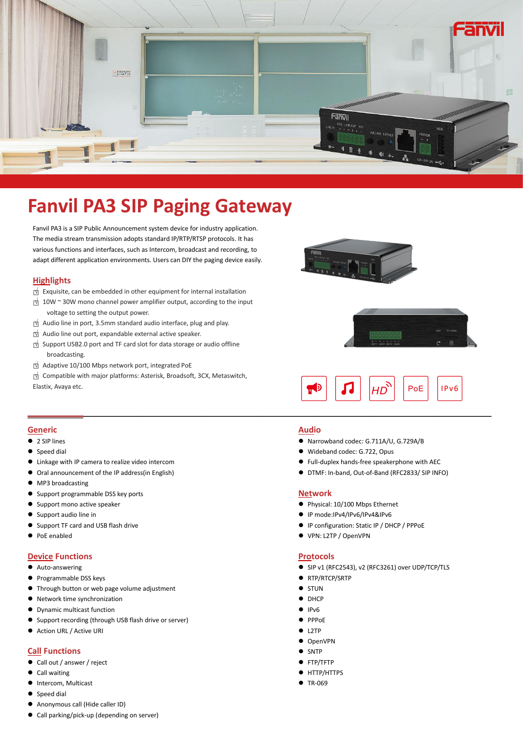

# **Fanvil PA3 SIP Paging Gateway**

Fanvil PA3 is a SIP Public Announcement system device for industry application. The media stream transmission adopts standard IP/RTP/RTSP protocols. It has various functions and interfaces, such as Intercom, broadcast and recording, to adapt different application environments. Users can DIY the paging device easily.

### **Highlights**

- 
- □<sup>√</sup> Exquisite, can be embedded in otherequipment for internal installation □<sup>√</sup> 10W <sup>~</sup> 30W mono channel power amplifier output, according to the input voltage to setting the output power.
- 
- 
- □√ Audio line in port, 3.5mm standard audio interface, plug and play.<br>□ Audio line out port, expandable external active speaker.<br>□ Support USB2.0 port and TF card slot for data storage or audio offline broadcasting.
- □<sup>√</sup> Adaptive 10/100 Mbps network port, integrated PoE
- □<sup>√</sup> Compatible with major platforms: Asterisk, Broadsoft, 3CX, Metaswitch, Elastix, Avaya etc.







#### **Generic**

- 2 SIP lines
- Speed dial
- Linkage with IP camera to realize video intercom
- Oral announcement of the IP address(in English)
- MP3 broadcasting
- Support programmable DSS key ports
- Support mono active speaker
- Support audio line in
- Support TF card and USB flash drive
- PoE enabled

## **Device Functions**

- Auto-answering
- **•** Programmable DSS keys
- Through button or web page volume adjustment
- Network time synchronization
- Dynamic multicast function
- Support recording (through USB flash drive or server)
- Action URL / Active URI

# **Call Functions**

- Call out / answer / reject
- Call waiting
- Intercom, Multicast
- **•** Speed dial
- Anonymous call (Hide caller ID)
- Call parking/pick-up (depending on server)

#### **Audio**

- Narrowband codec: G.711A/U, G.729A/B
- Wideband codec: G.722, Opus
- Full-duplex hands-free speakerphone with AEC
- DTMF: In-band, Out-of-Band (RFC2833/ SIP INFO)

# **Network**

- Physical: 10/100 Mbps Ethernet
- IP mode:IPv4/IPv6/IPv4&IPv6
- IP configuration: Static IP / DHCP / PPPoE
- VPN: L2TP / OpenVPN

#### **Protocols**

- SIP v1 (RFC2543), v2 (RFC3261) over UDP/TCP/TLS
- RTP/RTCP/SRTP
- $\bullet$  STUN
- DHCP
- $I$
- $\bullet$  PPP<sub>OE</sub>
- L2TP
- $\bullet$  OpenVPN
- SNTP
- FTP/TFTP
- **HTTP/HTTPS**
- TR-069